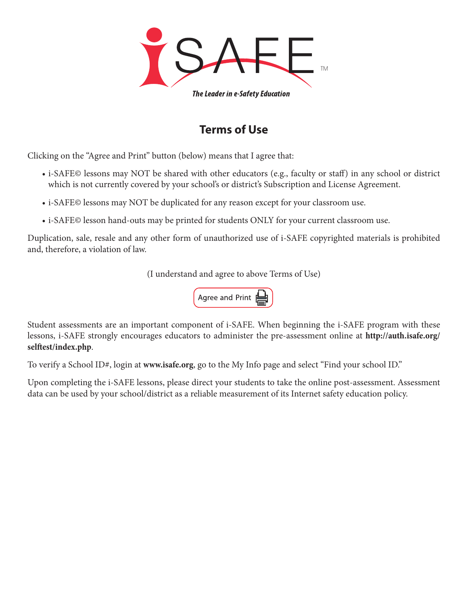

## **Terms of Use**

Clicking on the "Agree and Print" button (below) means that I agree that:

- i-SAFE© lessons may NOT be shared with other educators (e.g., faculty or staff) in any school or district which is not currently covered by your school's or district's Subscription and License Agreement.
- i-SAFE© lessons may NOT be duplicated for any reason except for your classroom use.
- i-SAFE© lesson hand-outs may be printed for students ONLY for your current classroom use.

Duplication, sale, resale and any other form of unauthorized use of i-SAFE copyrighted materials is prohibited and, therefore, a violation of law.

(I understand and agree to above Terms of Use)



Student assessments are an important component of i-SAFE. When beginning the i-SAFE program with these lessons, i-SAFE strongly encourages educators to administer the pre-assessment online at **[http://auth.isafe.org/](http://auth.isafe.org/selftest/index.php) [selftest/index.php](http://auth.isafe.org/selftest/index.php)**.

To verify a School ID#, login at **[www.isafe.org](http://www.isafe.org)**, go to the My Info page and select "Find your school ID."

Upon completing the i-SAFE lessons, please direct your students to take the online post-assessment. Assessment data can be used by your school/district as a reliable measurement of its Internet safety education policy.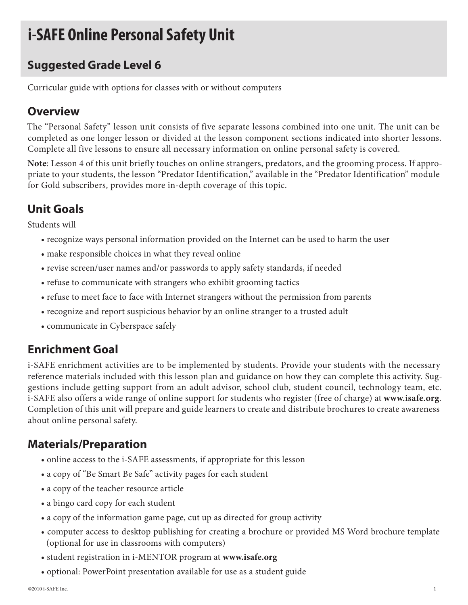## **i-SAFE Online Personal Safety Unit**

## **Suggested Grade Level 6**

Curricular guide with options for classes with or without computers

### **Overview**

The "Personal Safety" lesson unit consists of five separate lessons combined into one unit. The unit can be completed as one longer lesson or divided at the lesson component sections indicated into shorter lessons. Complete all five lessons to ensure all necessary information on online personal safety is covered.

**Note**: Lesson 4 of this unit briefly touches on online strangers, predators, and the grooming process. If appropriate to your students, the lesson "Predator Identification," available in the "Predator Identification" module for Gold subscribers, provides more in-depth coverage of this topic.

## **Unit Goals**

Students will

- recognize ways personal information provided on the Internet can be used to harm the user
- make responsible choices in what they reveal online
- revise screen/user names and/or passwords to apply safety standards, if needed
- refuse to communicate with strangers who exhibit grooming tactics
- refuse to meet face to face with Internet strangers without the permission from parents
- recognize and report suspicious behavior by an online stranger to a trusted adult
- communicate in Cyberspace safely

## **Enrichment Goal**

i-SAFE enrichment activities are to be implemented by students. Provide your students with the necessary reference materials included with this lesson plan and guidance on how they can complete this activity. Suggestions include getting support from an adult advisor, school club, student council, technology team, etc. i-SAFE also offers a wide range of online support for students who register (free of charge) at **www.isafe.org**. Completion of this unit will prepare and guide learners to create and distribute brochures to create awareness about online personal safety.

## **Materials/Preparation**

- online access to the i-SAFE assessments, if appropriate for this lesson
- a copy of "Be Smart Be Safe" activity pages for each student
- a copy of the teacher resource article
- a bingo card copy for each student
- a copy of the information game page, cut up as directed for group activity
- computer access to desktop publishing for creating a brochure or provided MS Word brochure template (optional for use in classrooms with computers)
- student registration in i-MENTOR program at **www.isafe.org**
- optional: PowerPoint presentation available for use as a student guide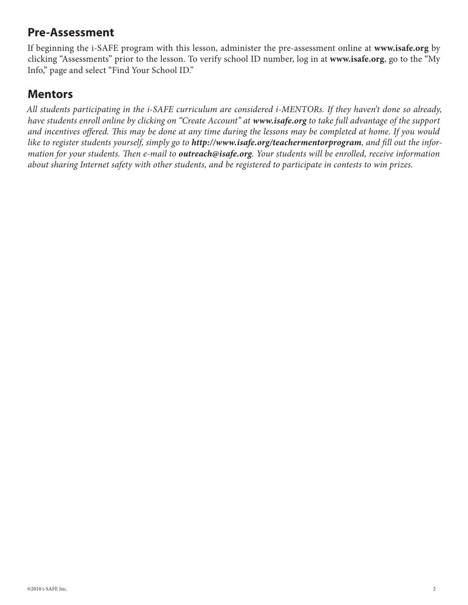### **Pre-Assessment**

If beginning the i-SAFE program with this lesson, administer the pre-assessment online at **www.isafe.org** by clicking "Assessments" prior to the lesson. To verify school ID number, log in at **www.isafe.org**, go to the "My Info," page and select "Find Your School ID."

### **Mentors**

*All students participating in the i-SAFE curriculum are considered i-MENTORs. If they haven't done so already, have students enroll online by clicking on "Create Account" at www.isafe.org to take full advantage of the support and incentives offered. This may be done at any time during the lessons may be completed at home. If you would*  like to register students yourself, simply go to **http://www.isafe.org/teachermentorprogram**, and fill out the infor*mation for your students. Then e-mail to outreach@isafe.org. Your students will be enrolled, receive information about sharing Internet safety with other students, and be registered to participate in contests to win prizes.*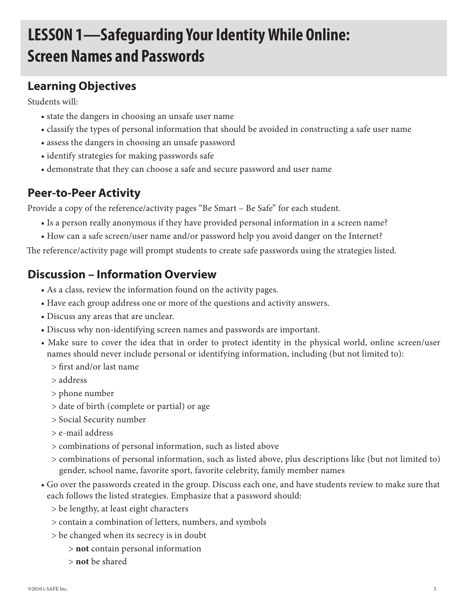# **LESSON 1—Safeguarding Your Identity While Online: Screen Names and Passwords**

## **Learning Objectives**

Students will:

- state the dangers in choosing an unsafe user name
- classify the types of personal information that should be avoided in constructing a safe user name
- assess the dangers in choosing an unsafe password
- identify strategies for making passwords safe
- demonstrate that they can choose a safe and secure password and user name

## **Peer-to-Peer Activity**

Provide a copy of the reference/activity pages "Be Smart – Be Safe" for each student.

- Is a person really anonymous if they have provided personal information in a screen name?
- How can a safe screen/user name and/or password help you avoid danger on the Internet?

The reference/activity page will prompt students to create safe passwords using the strategies listed.

### **Discussion – Information Overview**

- As a class, review the information found on the activity pages.
- Have each group address one or more of the questions and activity answers.
- Discuss any areas that are unclear.
- Discuss why non-identifying screen names and passwords are important.
- Make sure to cover the idea that in order to protect identity in the physical world, online screen/user names should never include personal or identifying information, including (but not limited to):
	- > first and/or last name
	- > address
	- > phone number
	- > date of birth (complete or partial) or age
	- > Social Security number
	- > e-mail address
	- > combinations of personal information, such as listed above
	- > combinations of personal information, such as listed above, plus descriptions like (but not limited to) gender, school name, favorite sport, favorite celebrity, family member names
- Go over the passwords created in the group. Discuss each one, and have students review to make sure that each follows the listed strategies. Emphasize that a password should:
	- > be lengthy, at least eight characters
	- > contain a combination of letters, numbers, and symbols
	- > be changed when its secrecy is in doubt
		- > **not** contain personal information
		- > **not** be shared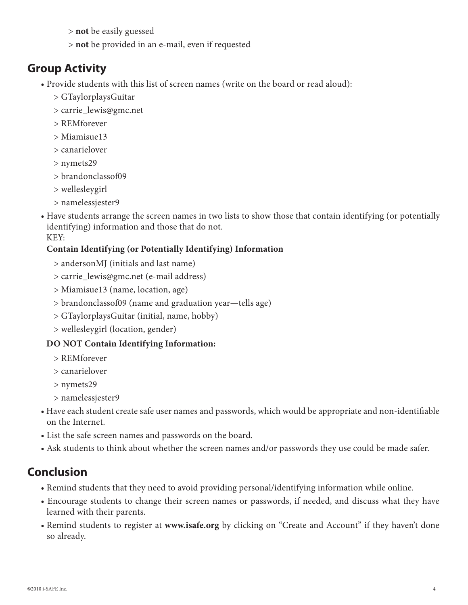- > **not** be easily guessed
- > **not** be provided in an e-mail, even if requested

### **Group Activity**

- Provide students with this list of screen names (write on the board or read aloud):
	- > GTaylorplaysGuitar
	- > carrie\_lewis@gmc.net
	- > REMforever
	- > Miamisue13
	- > canarielover
	- > nymets29
	- > brandonclassof09
	- > wellesleygirl
	- > namelessjester9
- Have students arrange the screen names in two lists to show those that contain identifying (or potentially identifying) information and those that do not. KEY:

### **Contain Identifying (or Potentially Identifying) Information**

- > andersonMJ (initials and last name)
- > carrie\_lewis@gmc.net (e-mail address)
- > Miamisue13 (name, location, age)
- > brandonclassof09 (name and graduation year—tells age)
- > GTaylorplaysGuitar (initial, name, hobby)
- > wellesleygirl (location, gender)

### **DO NOT Contain Identifying Information:**

- > REMforever
- > canarielover
- > nymets29
- > namelessjester9
- Have each student create safe user names and passwords, which would be appropriate and non-identifiable on the Internet.
- List the safe screen names and passwords on the board.
- Ask students to think about whether the screen names and/or passwords they use could be made safer.

## **Conclusion**

- Remind students that they need to avoid providing personal/identifying information while online.
- Encourage students to change their screen names or passwords, if needed, and discuss what they have learned with their parents.
- Remind students to register at **www.isafe.org** by clicking on "Create and Account" if they haven't done so already.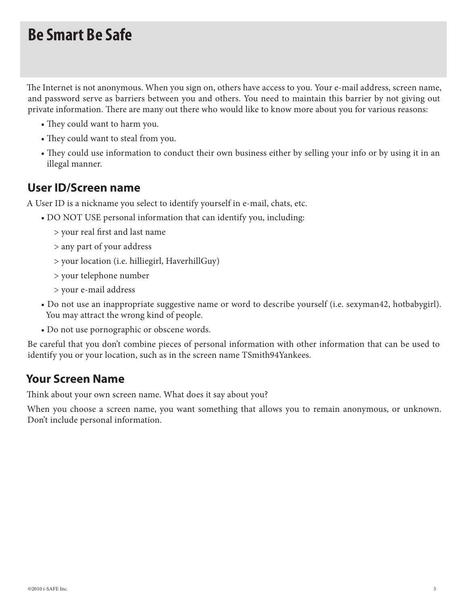## **Be Smart Be Safe**

The Internet is not anonymous. When you sign on, others have access to you. Your e-mail address, screen name, and password serve as barriers between you and others. You need to maintain this barrier by not giving out private information. There are many out there who would like to know more about you for various reasons:

- They could want to harm you.
- They could want to steal from you.
- They could use information to conduct their own business either by selling your info or by using it in an illegal manner.

### **User ID/Screen name**

A User ID is a nickname you select to identify yourself in e-mail, chats, etc.

- DO NOT USE personal information that can identify you, including:
	- > your real first and last name
	- > any part of your address
	- > your location (i.e. hilliegirl, HaverhillGuy)
	- > your telephone number
	- > your e-mail address
- Do not use an inappropriate suggestive name or word to describe yourself (i.e. sexyman42, hotbabygirl). You may attract the wrong kind of people.
- Do not use pornographic or obscene words.

Be careful that you don't combine pieces of personal information with other information that can be used to identify you or your location, such as in the screen name TSmith94Yankees.

### **Your Screen Name**

Think about your own screen name. What does it say about you?

When you choose a screen name, you want something that allows you to remain anonymous, or unknown. Don't include personal information.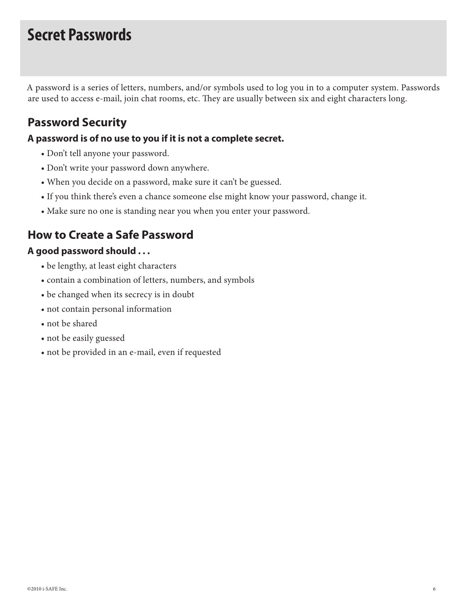## **Secret Passwords**

A password is a series of letters, numbers, and/or symbols used to log you in to a computer system. Passwords are used to access e-mail, join chat rooms, etc. They are usually between six and eight characters long.

## **Password Security**

### **A password is of no use to you if it is not a complete secret.**

- Don't tell anyone your password.
- Don't write your password down anywhere.
- When you decide on a password, make sure it can't be guessed.
- If you think there's even a chance someone else might know your password, change it.
- Make sure no one is standing near you when you enter your password.

## **How to Create a Safe Password**

### **A good password should . . .**

- be lengthy, at least eight characters
- contain a combination of letters, numbers, and symbols
- be changed when its secrecy is in doubt
- not contain personal information
- not be shared
- not be easily guessed
- not be provided in an e-mail, even if requested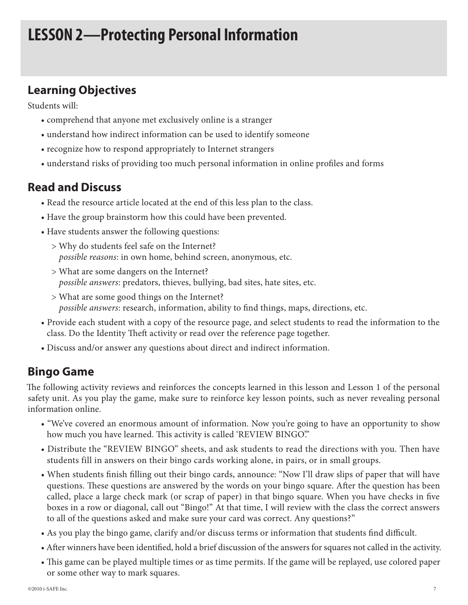## **LESSON 2—Protecting Personal Information**

### **Learning Objectives**

Students will:

- comprehend that anyone met exclusively online is a stranger
- understand how indirect information can be used to identify someone
- recognize how to respond appropriately to Internet strangers
- understand risks of providing too much personal information in online profiles and forms

### **Read and Discuss**

- Read the resource article located at the end of this less plan to the class.
- Have the group brainstorm how this could have been prevented.
- Have students answer the following questions:
	- > Why do students feel safe on the Internet? *possible reasons*: in own home, behind screen, anonymous, etc.
	- > What are some dangers on the Internet? *possible answers*: predators, thieves, bullying, bad sites, hate sites, etc.
	- > What are some good things on the Internet? *possible answers*: research, information, ability to find things, maps, directions, etc.
- Provide each student with a copy of the resource page, and select students to read the information to the class. Do the Identity Theft activity or read over the reference page together.
- Discuss and/or answer any questions about direct and indirect information.

### **Bingo Game**

The following activity reviews and reinforces the concepts learned in this lesson and Lesson 1 of the personal safety unit. As you play the game, make sure to reinforce key lesson points, such as never revealing personal information online.

- "We've covered an enormous amount of information. Now you're going to have an opportunity to show how much you have learned. This activity is called 'REVIEW BINGO'."
- Distribute the "REVIEW BINGO" sheets, and ask students to read the directions with you. Then have students fill in answers on their bingo cards working alone, in pairs, or in small groups.
- When students finish filling out their bingo cards, announce: "Now I'll draw slips of paper that will have questions. These questions are answered by the words on your bingo square. After the question has been called, place a large check mark (or scrap of paper) in that bingo square. When you have checks in five boxes in a row or diagonal, call out "Bingo!" At that time, I will review with the class the correct answers to all of the questions asked and make sure your card was correct. Any questions?"
- As you play the bingo game, clarify and/or discuss terms or information that students find difficult.
- After winners have been identified, hold a brief discussion of the answers for squares not called in the activity.
- This game can be played multiple times or as time permits. If the game will be replayed, use colored paper or some other way to mark squares.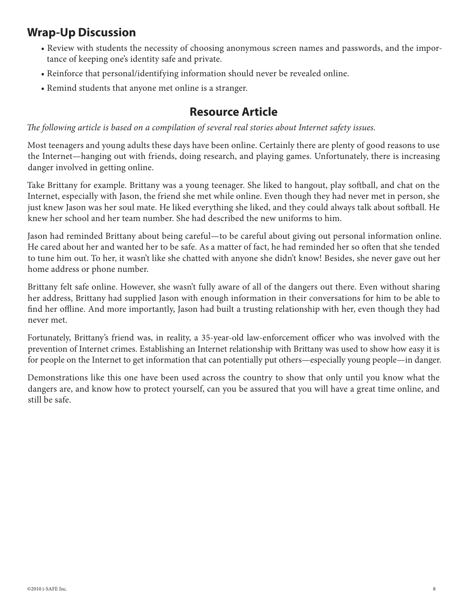## **Wrap-Up Discussion**

- Review with students the necessity of choosing anonymous screen names and passwords, and the importance of keeping one's identity safe and private.
- Reinforce that personal/identifying information should never be revealed online.
- Remind students that anyone met online is a stranger.

### **Resource Article**

*The following article is based on a compilation of several real stories about Internet safety issues.*

Most teenagers and young adults these days have been online. Certainly there are plenty of good reasons to use the Internet—hanging out with friends, doing research, and playing games. Unfortunately, there is increasing danger involved in getting online.

Take Brittany for example. Brittany was a young teenager. She liked to hangout, play softball, and chat on the Internet, especially with Jason, the friend she met while online. Even though they had never met in person, she just knew Jason was her soul mate. He liked everything she liked, and they could always talk about softball. He knew her school and her team number. She had described the new uniforms to him.

Jason had reminded Brittany about being careful—to be careful about giving out personal information online. He cared about her and wanted her to be safe. As a matter of fact, he had reminded her so often that she tended to tune him out. To her, it wasn't like she chatted with anyone she didn't know! Besides, she never gave out her home address or phone number.

Brittany felt safe online. However, she wasn't fully aware of all of the dangers out there. Even without sharing her address, Brittany had supplied Jason with enough information in their conversations for him to be able to find her offline. And more importantly, Jason had built a trusting relationship with her, even though they had never met.

Fortunately, Brittany's friend was, in reality, a 35-year-old law-enforcement officer who was involved with the prevention of Internet crimes. Establishing an Internet relationship with Brittany was used to show how easy it is for people on the Internet to get information that can potentially put others—especially young people—in danger.

Demonstrations like this one have been used across the country to show that only until you know what the dangers are, and know how to protect yourself, can you be assured that you will have a great time online, and still be safe.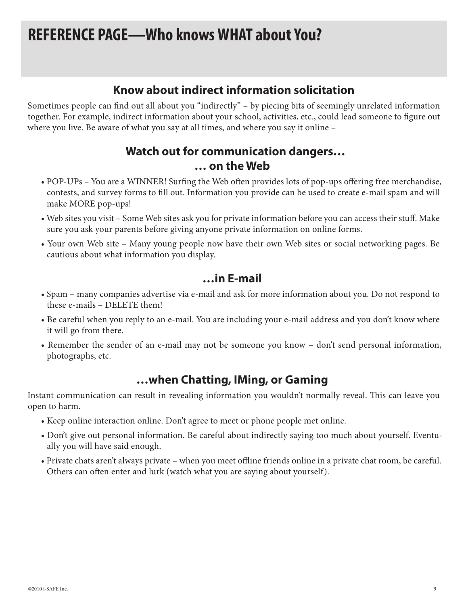## **REFERENCE PAGE—Who knows WHAT about You?**

### **Know about indirect information solicitation**

Sometimes people can find out all about you "indirectly" – by piecing bits of seemingly unrelated information together. For example, indirect information about your school, activities, etc., could lead someone to figure out where you live. Be aware of what you say at all times, and where you say it online –

### **Watch out for communication dangers… … on the Web**

- POP-UPs You are a WINNER! Surfing the Web often provides lots of pop-ups offering free merchandise, contests, and survey forms to fill out. Information you provide can be used to create e-mail spam and will make MORE pop-ups!
- Web sites you visit Some Web sites ask you for private information before you can access their stuff. Make sure you ask your parents before giving anyone private information on online forms.
- Your own Web site Many young people now have their own Web sites or social networking pages. Be cautious about what information you display.

### **…in E-mail**

- Spam many companies advertise via e-mail and ask for more information about you. Do not respond to these e-mails – DELETE them!
- Be careful when you reply to an e-mail. You are including your e-mail address and you don't know where it will go from there.
- Remember the sender of an e-mail may not be someone you know don't send personal information, photographs, etc.

### **…when Chatting, IMing, or Gaming**

Instant communication can result in revealing information you wouldn't normally reveal. This can leave you open to harm.

- Keep online interaction online. Don't agree to meet or phone people met online.
- Don't give out personal information. Be careful about indirectly saying too much about yourself. Eventually you will have said enough.
- Private chats aren't always private when you meet offline friends online in a private chat room, be careful. Others can often enter and lurk (watch what you are saying about yourself).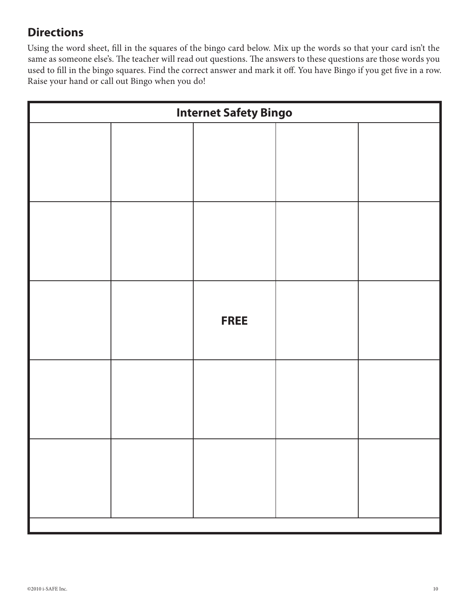## **Directions**

Using the word sheet, fill in the squares of the bingo card below. Mix up the words so that your card isn't the same as someone else's. The teacher will read out questions. The answers to these questions are those words you used to fill in the bingo squares. Find the correct answer and mark it off. You have Bingo if you get five in a row. Raise your hand or call out Bingo when you do!

| <b>Internet Safety Bingo</b> |  |             |  |  |  |
|------------------------------|--|-------------|--|--|--|
|                              |  |             |  |  |  |
|                              |  |             |  |  |  |
|                              |  | <b>FREE</b> |  |  |  |
|                              |  |             |  |  |  |
|                              |  |             |  |  |  |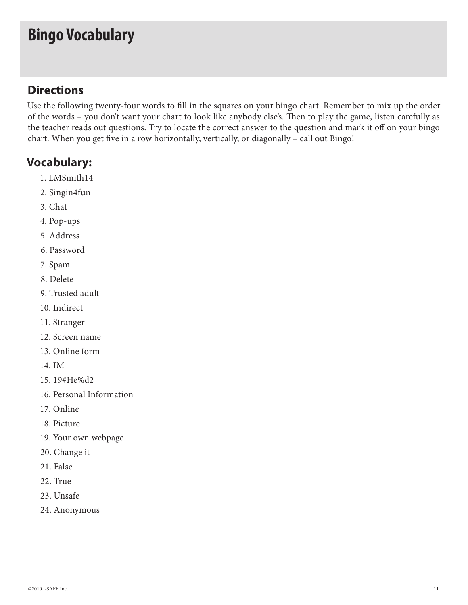## **Bingo Vocabulary**

### **Directions**

Use the following twenty-four words to fill in the squares on your bingo chart. Remember to mix up the order of the words – you don't want your chart to look like anybody else's. Then to play the game, listen carefully as the teacher reads out questions. Try to locate the correct answer to the question and mark it off on your bingo chart. When you get five in a row horizontally, vertically, or diagonally – call out Bingo!

### **Vocabulary:**

- 1. LMSmith14
- 2. Singin4fun
- 3. Chat
- 4. Pop-ups
- 5. Address
- 6. Password
- 7. Spam
- 8. Delete
- 9. Trusted adult
- 10. Indirect
- 11. Stranger
- 12. Screen name
- 13. Online form
- 14. IM
- 15. 19#He%d2
- 16. Personal Information
- 17. Online
- 18. Picture
- 19. Your own webpage
- 20. Change it
- 21. False
- 22. True
- 23. Unsafe
- 24. Anonymous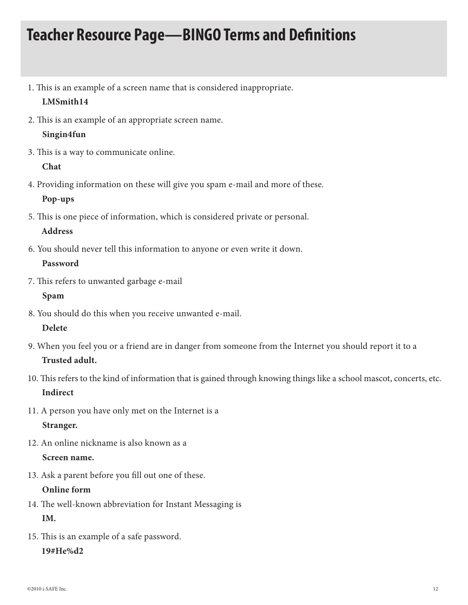## **Teacher Resource Page—BINGO Terms and Definitions**

- 1. This is an example of a screen name that is considered inappropriate. **LMSmith14**
- 2. This is an example of an appropriate screen name.

### **Singin4fun**

3. This is a way to communicate online.

#### **Chat**

4. Providing information on these will give you spam e-mail and more of these.

### **Pop-ups**

5. This is one piece of information, which is considered private or personal.

### **Address**

6. You should never tell this information to anyone or even write it down.

#### **Password**

7. This refers to unwanted garbage e-mail

### **Spam**

8. You should do this when you receive unwanted e-mail.

### **Delete**

- 9. When you feel you or a friend are in danger from someone from the Internet you should report it to a **Trusted adult.**
- 10. This refers to the kind of information that is gained through knowing things like a school mascot, concerts, etc. **Indirect**
- 11. A person you have only met on the Internet is a **Stranger.**
- 12. An online nickname is also known as a **Screen name.**
- 13. Ask a parent before you fill out one of these.

### **Online form**

- 14. The well-known abbreviation for Instant Messaging is **IM.**
- 15. This is an example of a safe password.

#### **19#He%d2**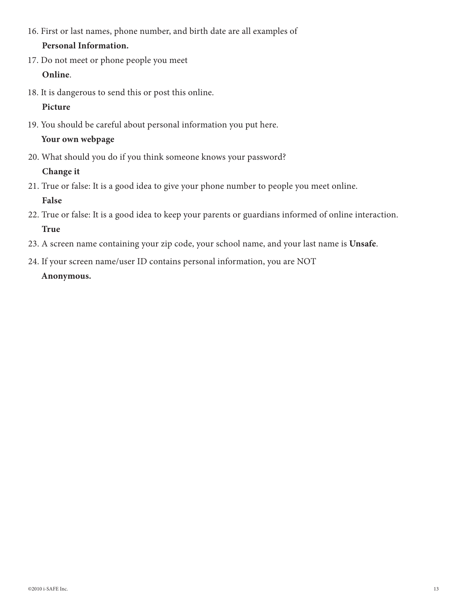16. First or last names, phone number, and birth date are all examples of

### **Personal Information.**

- 17. Do not meet or phone people you meet **Online**.
- 18. It is dangerous to send this or post this online.

### **Picture**

- 19. You should be careful about personal information you put here. **Your own webpage**
- 20. What should you do if you think someone knows your password?

### **Change it**

- 21. True or false: It is a good idea to give your phone number to people you meet online. **False**
- 22. True or false: It is a good idea to keep your parents or guardians informed of online interaction. **True**
- 23. A screen name containing your zip code, your school name, and your last name is **Unsafe**.
- 24. If your screen name/user ID contains personal information, you are NOT **Anonymous.**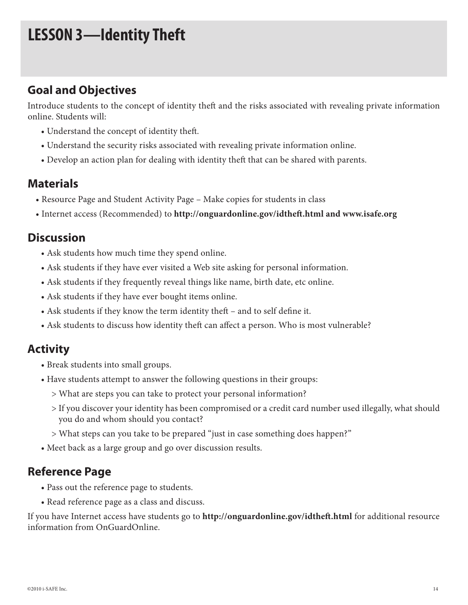## **LESSON 3—Identity Theft**

### **Goal and Objectives**

Introduce students to the concept of identity theft and the risks associated with revealing private information online. Students will:

- Understand the concept of identity theft.
- Understand the security risks associated with revealing private information online.
- Develop an action plan for dealing with identity theft that can be shared with parents.

### **Materials**

- Resource Page and Student Activity Page Make copies for students in class
- Internet access (Recommended) to **http://onguardonline.gov/idtheft.html and www.isafe.org**

### **Discussion**

- Ask students how much time they spend online.
- Ask students if they have ever visited a Web site asking for personal information.
- Ask students if they frequently reveal things like name, birth date, etc online.
- Ask students if they have ever bought items online.
- Ask students if they know the term identity theft and to self define it.
- Ask students to discuss how identity theft can affect a person. Who is most vulnerable?

### **Activity**

- Break students into small groups.
- Have students attempt to answer the following questions in their groups:
	- > What are steps you can take to protect your personal information?
	- > If you discover your identity has been compromised or a credit card number used illegally, what should you do and whom should you contact?
	- > What steps can you take to be prepared "just in case something does happen?"
- Meet back as a large group and go over discussion results.

### **Reference Page**

- Pass out the reference page to students.
- Read reference page as a class and discuss.

If you have Internet access have students go to **http://onguardonline.gov/idtheft.html** for additional resource information from OnGuardOnline.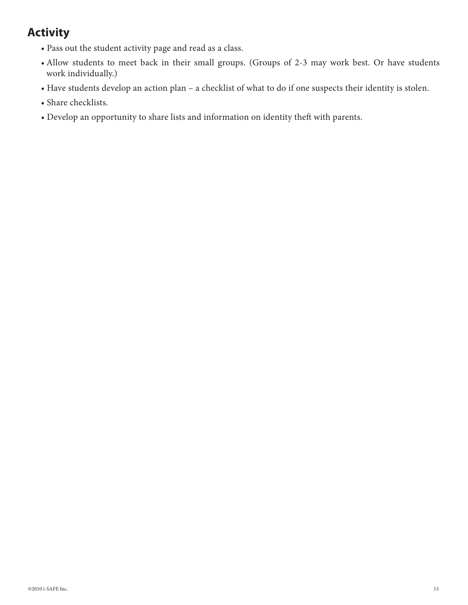## **Activity**

- Pass out the student activity page and read as a class.
- Allow students to meet back in their small groups. (Groups of 2-3 may work best. Or have students work individually.)
- Have students develop an action plan a checklist of what to do if one suspects their identity is stolen.
- Share checklists.
- Develop an opportunity to share lists and information on identity theft with parents.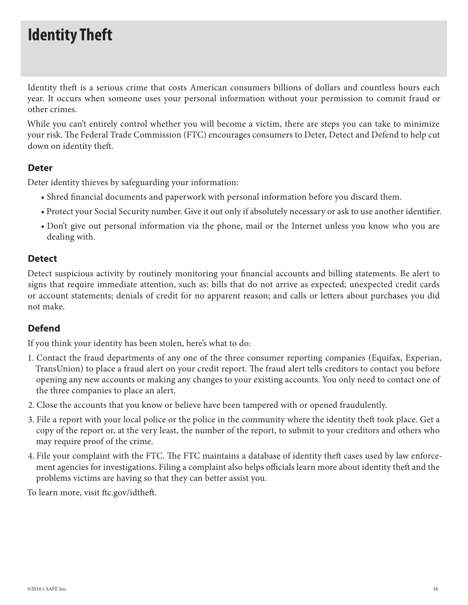## **Identity Theft**

Identity theft is a serious crime that costs American consumers billions of dollars and countless hours each year. It occurs when someone uses your personal information without your permission to commit fraud or other crimes.

While you can't entirely control whether you will become a victim, there are steps you can take to minimize your risk. The Federal Trade Commission (FTC) encourages consumers to Deter, Detect and Defend to help cut down on identity theft.

### **Deter**

Deter identity thieves by safeguarding your information:

- Shred financial documents and paperwork with personal information before you discard them.
- Protect your Social Security number. Give it out only if absolutely necessary or ask to use another identifier.
- Don't give out personal information via the phone, mail or the Internet unless you know who you are dealing with.

### **Detect**

Detect suspicious activity by routinely monitoring your financial accounts and billing statements. Be alert to signs that require immediate attention, such as: bills that do not arrive as expected; unexpected credit cards or account statements; denials of credit for no apparent reason; and calls or letters about purchases you did not make.

### **Defend**

If you think your identity has been stolen, here's what to do:

- 1. Contact the fraud departments of any one of the three consumer reporting companies (Equifax, Experian, TransUnion) to place a fraud alert on your credit report. The fraud alert tells creditors to contact you before opening any new accounts or making any changes to your existing accounts. You only need to contact one of the three companies to place an alert.
- 2. Close the accounts that you know or believe have been tampered with or opened fraudulently.
- 3. File a report with your local police or the police in the community where the identity theft took place. Get a copy of the report or, at the very least, the number of the report, to submit to your creditors and others who may require proof of the crime.
- 4. File your complaint with the FTC. The FTC maintains a database of identity theft cases used by law enforcement agencies for investigations. Filing a complaint also helps officials learn more about identity theft and the problems victims are having so that they can better assist you.

To learn more, visit ftc.gov/idtheft.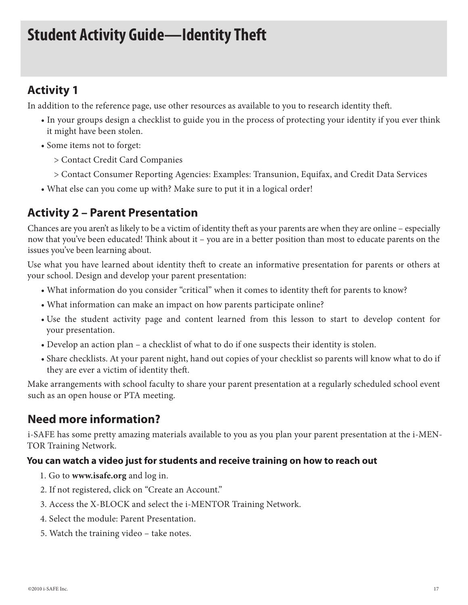## **Student Activity Guide—Identity Theft**

## **Activity 1**

In addition to the reference page, use other resources as available to you to research identity theft.

- In your groups design a checklist to guide you in the process of protecting your identity if you ever think it might have been stolen.
- Some items not to forget:
	- > Contact Credit Card Companies
	- > Contact Consumer Reporting Agencies: Examples: Transunion, Equifax, and Credit Data Services
- What else can you come up with? Make sure to put it in a logical order!

## **Activity 2 – Parent Presentation**

Chances are you aren't as likely to be a victim of identity theft as your parents are when they are online – especially now that you've been educated! Think about it – you are in a better position than most to educate parents on the issues you've been learning about.

Use what you have learned about identity theft to create an informative presentation for parents or others at your school. Design and develop your parent presentation:

- What information do you consider "critical" when it comes to identity theft for parents to know?
- What information can make an impact on how parents participate online?
- Use the student activity page and content learned from this lesson to start to develop content for your presentation.
- Develop an action plan a checklist of what to do if one suspects their identity is stolen.
- Share checklists. At your parent night, hand out copies of your checklist so parents will know what to do if they are ever a victim of identity theft.

Make arrangements with school faculty to share your parent presentation at a regularly scheduled school event such as an open house or PTA meeting.

### **Need more information?**

i-SAFE has some pretty amazing materials available to you as you plan your parent presentation at the i-MEN-TOR Training Network.

### **You can watch a video just for students and receive training on how to reach out**

- 1. Go to **www.isafe.org** and log in.
- 2. If not registered, click on "Create an Account."
- 3. Access the X-BLOCK and select the i-MENTOR Training Network.
- 4. Select the module: Parent Presentation.
- 5. Watch the training video take notes.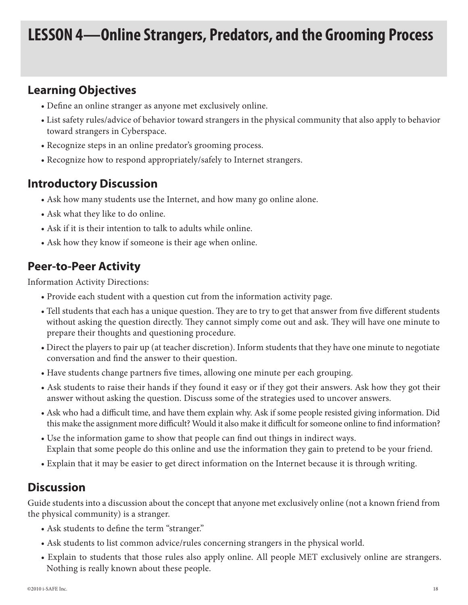## **LESSON 4—Online Strangers, Predators, and the Grooming Process**

### **Learning Objectives**

- Define an online stranger as anyone met exclusively online.
- List safety rules/advice of behavior toward strangers in the physical community that also apply to behavior toward strangers in Cyberspace.
- Recognize steps in an online predator's grooming process.
- Recognize how to respond appropriately/safely to Internet strangers.

### **Introductory Discussion**

- Ask how many students use the Internet, and how many go online alone.
- Ask what they like to do online.
- Ask if it is their intention to talk to adults while online.
- Ask how they know if someone is their age when online.

## **Peer-to-Peer Activity**

Information Activity Directions:

- Provide each student with a question cut from the information activity page.
- Tell students that each has a unique question. They are to try to get that answer from five different students without asking the question directly. They cannot simply come out and ask. They will have one minute to prepare their thoughts and questioning procedure.
- Direct the players to pair up (at teacher discretion). Inform students that they have one minute to negotiate conversation and find the answer to their question.
- Have students change partners five times, allowing one minute per each grouping.
- Ask students to raise their hands if they found it easy or if they got their answers. Ask how they got their answer without asking the question. Discuss some of the strategies used to uncover answers.
- Ask who had a difficult time, and have them explain why. Ask if some people resisted giving information. Did this make the assignment more difficult? Would it also make it difficult for someone online to find information?
- Use the information game to show that people can find out things in indirect ways. Explain that some people do this online and use the information they gain to pretend to be your friend.
- Explain that it may be easier to get direct information on the Internet because it is through writing.

### **Discussion**

Guide students into a discussion about the concept that anyone met exclusively online (not a known friend from the physical community) is a stranger.

- Ask students to define the term "stranger."
- Ask students to list common advice/rules concerning strangers in the physical world.
- Explain to students that those rules also apply online. All people MET exclusively online are strangers. Nothing is really known about these people.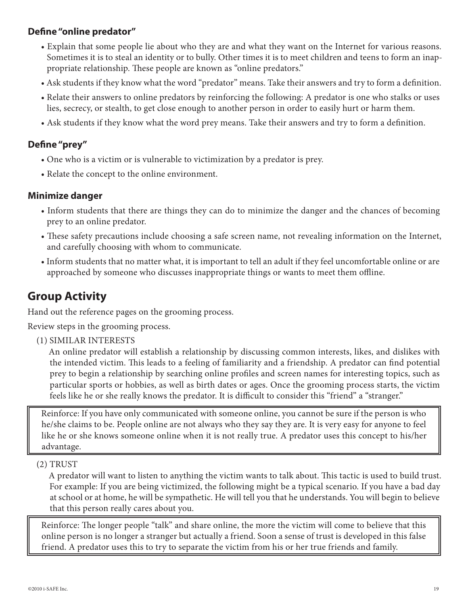### **Define "online predator"**

- Explain that some people lie about who they are and what they want on the Internet for various reasons. Sometimes it is to steal an identity or to bully. Other times it is to meet children and teens to form an inappropriate relationship. These people are known as "online predators."
- Ask students if they know what the word "predator" means. Take their answers and try to form a definition.
- Relate their answers to online predators by reinforcing the following: A predator is one who stalks or uses lies, secrecy, or stealth, to get close enough to another person in order to easily hurt or harm them.
- Ask students if they know what the word prey means. Take their answers and try to form a definition.

### **Define "prey"**

- One who is a victim or is vulnerable to victimization by a predator is prey.
- Relate the concept to the online environment.

### **Minimize danger**

- Inform students that there are things they can do to minimize the danger and the chances of becoming prey to an online predator.
- These safety precautions include choosing a safe screen name, not revealing information on the Internet, and carefully choosing with whom to communicate.
- Inform students that no matter what, it is important to tell an adult if they feel uncomfortable online or are approached by someone who discusses inappropriate things or wants to meet them offline.

### **Group Activity**

Hand out the reference pages on the grooming process.

Review steps in the grooming process.

(1) SIMILAR INTERESTS

An online predator will establish a relationship by discussing common interests, likes, and dislikes with the intended victim. This leads to a feeling of familiarity and a friendship. A predator can find potential prey to begin a relationship by searching online profiles and screen names for interesting topics, such as particular sports or hobbies, as well as birth dates or ages. Once the grooming process starts, the victim feels like he or she really knows the predator. It is difficult to consider this "friend" a "stranger."

Reinforce: If you have only communicated with someone online, you cannot be sure if the person is who he/she claims to be. People online are not always who they say they are. It is very easy for anyone to feel like he or she knows someone online when it is not really true. A predator uses this concept to his/her advantage.

(2) TRUST

A predator will want to listen to anything the victim wants to talk about. This tactic is used to build trust. For example: If you are being victimized, the following might be a typical scenario. If you have a bad day at school or at home, he will be sympathetic. He will tell you that he understands. You will begin to believe that this person really cares about you.

Reinforce: The longer people "talk" and share online, the more the victim will come to believe that this online person is no longer a stranger but actually a friend. Soon a sense of trust is developed in this false friend. A predator uses this to try to separate the victim from his or her true friends and family.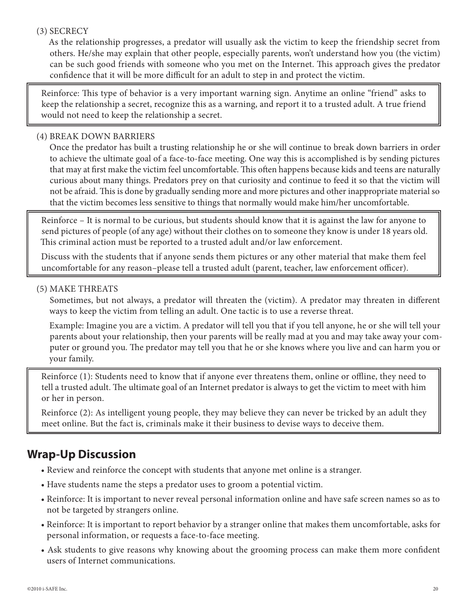### (3) SECRECY

As the relationship progresses, a predator will usually ask the victim to keep the friendship secret from others. He/she may explain that other people, especially parents, won't understand how you (the victim) can be such good friends with someone who you met on the Internet. This approach gives the predator confidence that it will be more difficult for an adult to step in and protect the victim.

Reinforce: This type of behavior is a very important warning sign. Anytime an online "friend" asks to keep the relationship a secret, recognize this as a warning, and report it to a trusted adult. A true friend would not need to keep the relationship a secret.

### (4) BREAK DOWN BARRIERS

Once the predator has built a trusting relationship he or she will continue to break down barriers in order to achieve the ultimate goal of a face-to-face meeting. One way this is accomplished is by sending pictures that may at first make the victim feel uncomfortable. This often happens because kids and teens are naturally curious about many things. Predators prey on that curiosity and continue to feed it so that the victim will not be afraid. This is done by gradually sending more and more pictures and other inappropriate material so that the victim becomes less sensitive to things that normally would make him/her uncomfortable.

Reinforce – It is normal to be curious, but students should know that it is against the law for anyone to send pictures of people (of any age) without their clothes on to someone they know is under 18 years old. This criminal action must be reported to a trusted adult and/or law enforcement.

Discuss with the students that if anyone sends them pictures or any other material that make them feel uncomfortable for any reason–please tell a trusted adult (parent, teacher, law enforcement officer).

#### (5) MAKE THREATS

Sometimes, but not always, a predator will threaten the (victim). A predator may threaten in different ways to keep the victim from telling an adult. One tactic is to use a reverse threat.

Example: Imagine you are a victim. A predator will tell you that if you tell anyone, he or she will tell your parents about your relationship, then your parents will be really mad at you and may take away your computer or ground you. The predator may tell you that he or she knows where you live and can harm you or your family.

Reinforce (1): Students need to know that if anyone ever threatens them, online or offline, they need to tell a trusted adult. The ultimate goal of an Internet predator is always to get the victim to meet with him or her in person.

Reinforce (2): As intelligent young people, they may believe they can never be tricked by an adult they meet online. But the fact is, criminals make it their business to devise ways to deceive them.

## **Wrap-Up Discussion**

- Review and reinforce the concept with students that anyone met online is a stranger.
- Have students name the steps a predator uses to groom a potential victim.
- Reinforce: It is important to never reveal personal information online and have safe screen names so as to not be targeted by strangers online.
- Reinforce: It is important to report behavior by a stranger online that makes them uncomfortable, asks for personal information, or requests a face-to-face meeting.
- Ask students to give reasons why knowing about the grooming process can make them more confident users of Internet communications.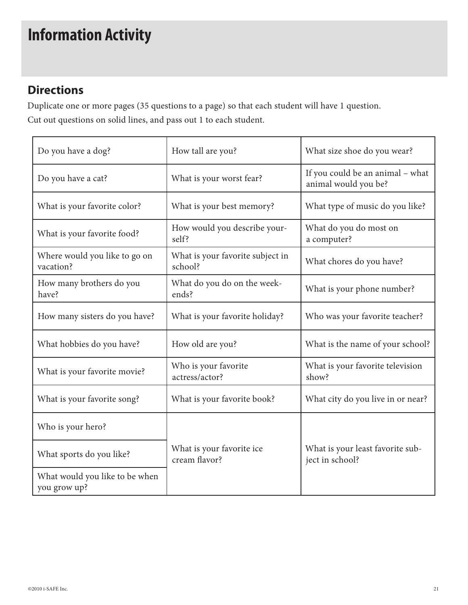# **Information Activity**

## **Directions**

Duplicate one or more pages (35 questions to a page) so that each student will have 1 question.

Cut out questions on solid lines, and pass out 1 to each student.

| Do you have a dog?                             | How tall are you?                           | What size shoe do you wear?                              |  |
|------------------------------------------------|---------------------------------------------|----------------------------------------------------------|--|
| Do you have a cat?                             | What is your worst fear?                    | If you could be an animal - what<br>animal would you be? |  |
| What is your favorite color?                   | What is your best memory?                   | What type of music do you like?                          |  |
| What is your favorite food?                    | How would you describe your-<br>self?       | What do you do most on<br>a computer?                    |  |
| Where would you like to go on<br>vacation?     | What is your favorite subject in<br>school? | What chores do you have?                                 |  |
| How many brothers do you<br>have?              | What do you do on the week-<br>ends?        | What is your phone number?                               |  |
| How many sisters do you have?                  | What is your favorite holiday?              | Who was your favorite teacher?                           |  |
| What hobbies do you have?                      | How old are you?                            | What is the name of your school?                         |  |
| What is your favorite movie?                   | Who is your favorite<br>actress/actor?      | What is your favorite television<br>show?                |  |
| What is your favorite song?                    | What is your favorite book?                 | What city do you live in or near?                        |  |
| Who is your hero?                              |                                             |                                                          |  |
| What sports do you like?                       | What is your favorite ice<br>cream flavor?  | What is your least favorite sub-<br>ject in school?      |  |
| What would you like to be when<br>you grow up? |                                             |                                                          |  |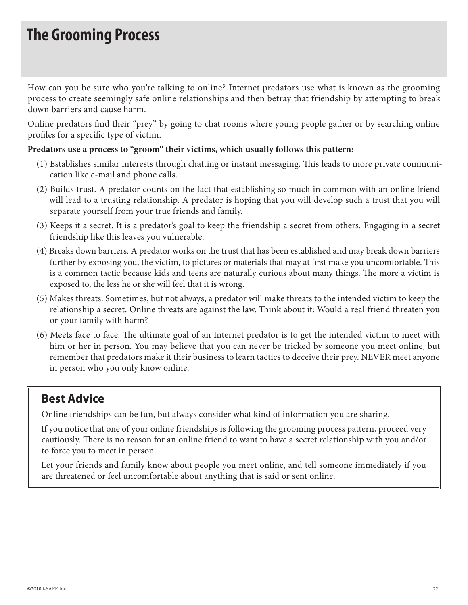## **The Grooming Process**

How can you be sure who you're talking to online? Internet predators use what is known as the grooming process to create seemingly safe online relationships and then betray that friendship by attempting to break down barriers and cause harm.

Online predators find their "prey" by going to chat rooms where young people gather or by searching online profiles for a specific type of victim.

#### **Predators use a process to "groom" their victims, which usually follows this pattern:**

- (1) Establishes similar interests through chatting or instant messaging. This leads to more private communication like e-mail and phone calls.
- (2) Builds trust. A predator counts on the fact that establishing so much in common with an online friend will lead to a trusting relationship. A predator is hoping that you will develop such a trust that you will separate yourself from your true friends and family.
- (3) Keeps it a secret. It is a predator's goal to keep the friendship a secret from others. Engaging in a secret friendship like this leaves you vulnerable.
- (4) Breaks down barriers. A predator works on the trust that has been established and may break down barriers further by exposing you, the victim, to pictures or materials that may at first make you uncomfortable. This is a common tactic because kids and teens are naturally curious about many things. The more a victim is exposed to, the less he or she will feel that it is wrong.
- (5) Makes threats. Sometimes, but not always, a predator will make threats to the intended victim to keep the relationship a secret. Online threats are against the law. Think about it: Would a real friend threaten you or your family with harm?
- (6) Meets face to face. The ultimate goal of an Internet predator is to get the intended victim to meet with him or her in person. You may believe that you can never be tricked by someone you meet online, but remember that predators make it their business to learn tactics to deceive their prey. NEVER meet anyone in person who you only know online.

### **Best Advice**

Online friendships can be fun, but always consider what kind of information you are sharing.

If you notice that one of your online friendships is following the grooming process pattern, proceed very cautiously. There is no reason for an online friend to want to have a secret relationship with you and/or to force you to meet in person.

Let your friends and family know about people you meet online, and tell someone immediately if you are threatened or feel uncomfortable about anything that is said or sent online.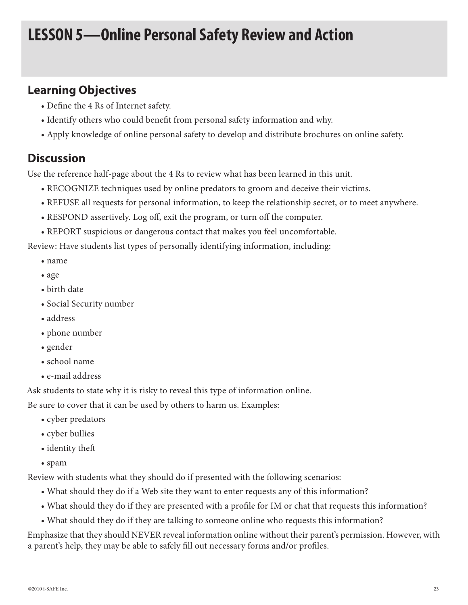## **LESSON 5—Online Personal Safety Review and Action**

## **Learning Objectives**

- Define the 4 Rs of Internet safety.
- Identify others who could benefit from personal safety information and why.
- Apply knowledge of online personal safety to develop and distribute brochures on online safety.

## **Discussion**

Use the reference half-page about the 4 Rs to review what has been learned in this unit.

- RECOGNIZE techniques used by online predators to groom and deceive their victims.
- REFUSE all requests for personal information, to keep the relationship secret, or to meet anywhere.
- RESPOND assertively. Log off, exit the program, or turn off the computer.
- REPORT suspicious or dangerous contact that makes you feel uncomfortable.

Review: Have students list types of personally identifying information, including:

- name
- age
- birth date
- Social Security number
- address
- phone number
- gender
- school name
- e-mail address

Ask students to state why it is risky to reveal this type of information online.

Be sure to cover that it can be used by others to harm us. Examples:

- cyber predators
- cyber bullies
- identity theft
- spam

Review with students what they should do if presented with the following scenarios:

- What should they do if a Web site they want to enter requests any of this information?
- What should they do if they are presented with a profile for IM or chat that requests this information?
- What should they do if they are talking to someone online who requests this information?

Emphasize that they should NEVER reveal information online without their parent's permission. However, with a parent's help, they may be able to safely fill out necessary forms and/or profiles.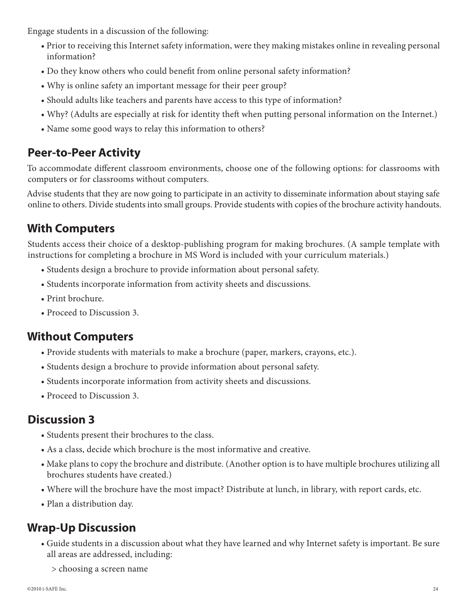Engage students in a discussion of the following:

- Prior to receiving this Internet safety information, were they making mistakes online in revealing personal information?
- Do they know others who could benefit from online personal safety information?
- Why is online safety an important message for their peer group?
- Should adults like teachers and parents have access to this type of information?
- Why? (Adults are especially at risk for identity theft when putting personal information on the Internet.)
- Name some good ways to relay this information to others?

### **Peer-to-Peer Activity**

To accommodate different classroom environments, choose one of the following options: for classrooms with computers or for classrooms without computers.

Advise students that they are now going to participate in an activity to disseminate information about staying safe online to others. Divide students into small groups. Provide students with copies of the brochure activity handouts.

## **With Computers**

Students access their choice of a desktop-publishing program for making brochures. (A sample template with instructions for completing a brochure in MS Word is included with your curriculum materials.)

- Students design a brochure to provide information about personal safety.
- Students incorporate information from activity sheets and discussions.
- Print brochure.
- Proceed to Discussion 3.

### **Without Computers**

- Provide students with materials to make a brochure (paper, markers, crayons, etc.).
- Students design a brochure to provide information about personal safety.
- Students incorporate information from activity sheets and discussions.
- Proceed to Discussion 3.

## **Discussion 3**

- Students present their brochures to the class.
- As a class, decide which brochure is the most informative and creative.
- Make plans to copy the brochure and distribute. (Another option is to have multiple brochures utilizing all brochures students have created.)
- Where will the brochure have the most impact? Distribute at lunch, in library, with report cards, etc.
- Plan a distribution day.

## **Wrap-Up Discussion**

- Guide students in a discussion about what they have learned and why Internet safety is important. Be sure all areas are addressed, including:
	- > choosing a screen name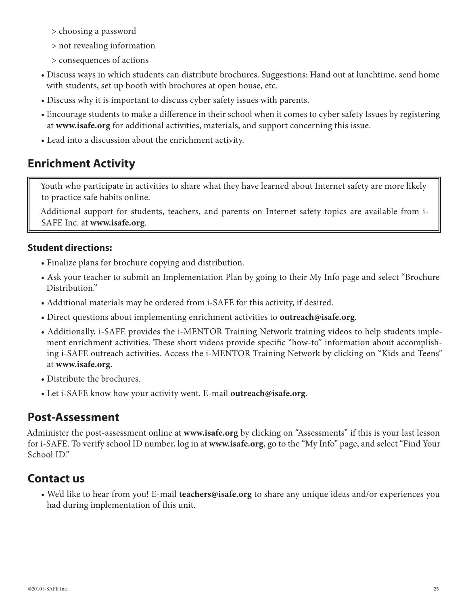- > choosing a password
- > not revealing information
- > consequences of actions
- Discuss ways in which students can distribute brochures. Suggestions: Hand out at lunchtime, send home with students, set up booth with brochures at open house, etc.
- Discuss why it is important to discuss cyber safety issues with parents.
- Encourage students to make a difference in their school when it comes to cyber safety Issues by registering at **www.isafe.org** for additional activities, materials, and support concerning this issue.
- Lead into a discussion about the enrichment activity.

## **Enrichment Activity**

Youth who participate in activities to share what they have learned about Internet safety are more likely to practice safe habits online.

Additional support for students, teachers, and parents on Internet safety topics are available from i-SAFE Inc. at **www.isafe.org**.

### **Student directions:**

- Finalize plans for brochure copying and distribution.
- Ask your teacher to submit an Implementation Plan by going to their My Info page and select "Brochure Distribution."
- Additional materials may be ordered from i-SAFE for this activity, if desired.
- Direct questions about implementing enrichment activities to **outreach@isafe.org**.
- Additionally, i-SAFE provides the i-MENTOR Training Network training videos to help students implement enrichment activities. These short videos provide specific "how-to" information about accomplishing i-SAFE outreach activities. Access the i-MENTOR Training Network by clicking on "Kids and Teens" at **www.isafe.org**.
- Distribute the brochures.
- Let i-SAFE know how your activity went. E-mail **outreach@isafe.org**.

### **Post-Assessment**

Administer the post-assessment online at **www.isafe.org** by clicking on "Assessments" if this is your last lesson for i-SAFE. To verify school ID number, log in at **www.isafe.org**, go to the "My Info" page, and select "Find Your School ID."

## **Contact us**

• We'd like to hear from you! E-mail **teachers@isafe.org** to share any unique ideas and/or experiences you had during implementation of this unit.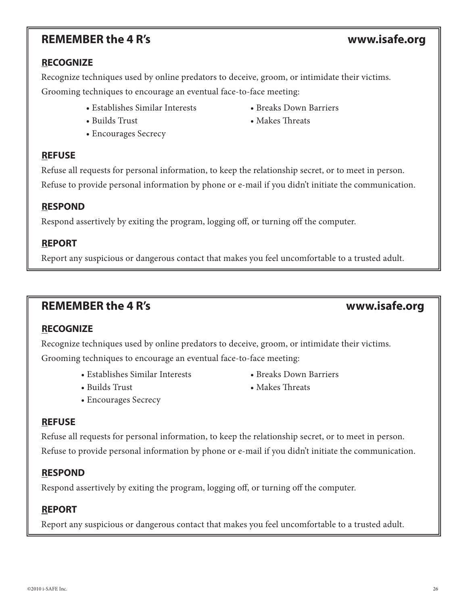### **REMEMBER the 4 R's www.isafe.org**

Recognize techniques used by online predators to deceive, groom, or intimidate their victims. Grooming techniques to encourage an eventual face-to-face meeting:

- Establishes Similar Interests Breaks Down Barriers
- 
- Encourages Secrecy

#### **REFUSE**

**RECOGNIZE**

Refuse all requests for personal information, to keep the relationship secret, or to meet in person. Refuse to provide personal information by phone or e-mail if you didn't initiate the communication.

#### **RESPOND**

Respond assertively by exiting the program, logging off, or turning off the computer.

#### **REPORT**

Report any suspicious or dangerous contact that makes you feel uncomfortable to a trusted adult.

### **REMEMBER the 4 R's www.isafe.org**

### **RECOGNIZE**

Recognize techniques used by online predators to deceive, groom, or intimidate their victims. Grooming techniques to encourage an eventual face-to-face meeting:

- Establishes Similar Interests Breaks Down Barriers
- 
- Encourages Secrecy

#### **REFUSE**

Refuse all requests for personal information, to keep the relationship secret, or to meet in person. Refuse to provide personal information by phone or e-mail if you didn't initiate the communication.

#### **RESPOND**

Respond assertively by exiting the program, logging off, or turning off the computer.

#### **REPORT**

Report any suspicious or dangerous contact that makes you feel uncomfortable to a trusted adult.

- 
- Builds Trust Makes Threats

- 
- Builds Trust Makes Threats